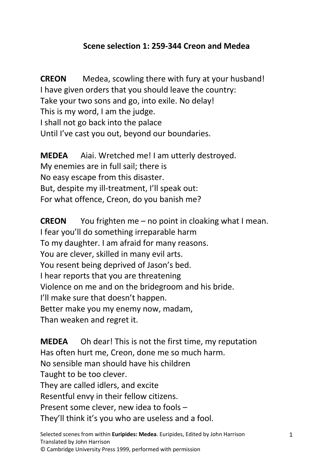### **Scene selection 1: 259-344 Creon and Medea**

**CREON** Medea, scowling there with fury at your husband! I have given orders that you should leave the country: Take your two sons and go, into exile. No delay! This is my word, I am the judge. I shall not go back into the palace Until I've cast you out, beyond our boundaries.

**MEDEA** Aiai. Wretched me! I am utterly destroyed. My enemies are in full sail; there is No easy escape from this disaster. But, despite my ill-treatment, I'll speak out: For what offence, Creon, do you banish me?

**CREON** You frighten me – no point in cloaking what I mean. I fear you'll do something irreparable harm To my daughter. I am afraid for many reasons. You are clever, skilled in many evil arts. You resent being deprived of Jason's bed. I hear reports that you are threatening Violence on me and on the bridegroom and his bride. I'll make sure that doesn't happen. Better make you my enemy now, madam, Than weaken and regret it.

**MEDEA** Oh dear! This is not the first time, my reputation Has often hurt me, Creon, done me so much harm. No sensible man should have his children Taught to be too clever. They are called idlers, and excite Resentful envy in their fellow citizens. Present some clever, new idea to fools – They'll think it's you who are useless and a fool.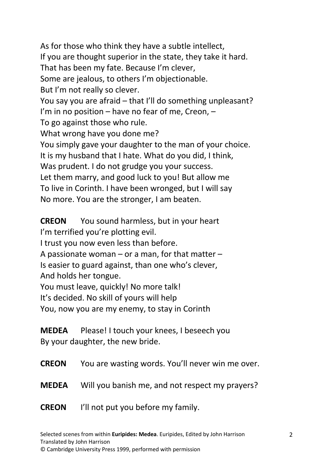As for those who think they have a subtle intellect, If you are thought superior in the state, they take it hard. That has been my fate. Because I'm clever, Some are jealous, to others I'm objectionable. But I'm not really so clever. You say you are afraid – that I'll do something unpleasant? I'm in no position – have no fear of me, Creon, – To go against those who rule. What wrong have you done me? You simply gave your daughter to the man of your choice. It is my husband that I hate. What do you did, I think, Was prudent. I do not grudge you your success. Let them marry, and good luck to you! But allow me To live in Corinth. I have been wronged, but I will say No more. You are the stronger, I am beaten.

**CREON** You sound harmless, but in your heart I'm terrified you're plotting evil.

I trust you now even less than before.

A passionate woman – or a man, for that matter  $-$ 

Is easier to guard against, than one who's clever, And holds her tongue.

You must leave, quickly! No more talk!

It's decided. No skill of yours will help

You, now you are my enemy, to stay in Corinth

**MEDEA** Please! I touch your knees, I beseech you By your daughter, the new bride.

| <b>CREON</b> | You are wasting words. You'll never win me over. |
|--------------|--------------------------------------------------|
|--------------|--------------------------------------------------|

**MEDEA** Will you banish me, and not respect my prayers?

**CREON** I'll not put you before my family.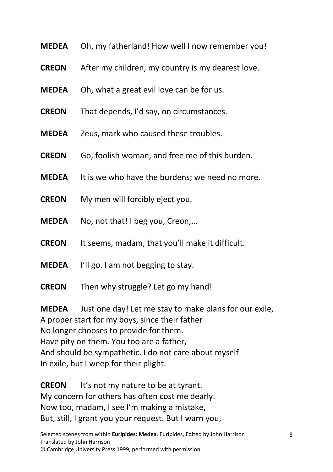- **MEDEA** Oh, my fatherland! How well I now remember you!
- **CREON** After my children, my country is my dearest love.
- **MEDEA** Oh, what a great evil love can be for us.
- **CREON** That depends, I'd say, on circumstances.
- **MEDEA** Zeus, mark who caused these troubles.
- **CREON** Go, foolish woman, and free me of this burden.
- **MEDEA** It is we who have the burdens; we need no more.
- **CREON** My men will forcibly eject you.
- **MEDEA** No, not that! I beg you, Creon,…
- **CREON** It seems, madam, that you'll make it difficult.
- **MEDEA** I'll go. I am not begging to stay.
- **CREON** Then why struggle? Let go my hand!

**MEDEA** Just one day! Let me stay to make plans for our exile, A proper start for my boys, since their father No longer chooses to provide for them. Have pity on them. You too are a father, And should be sympathetic. I do not care about myself In exile, but I weep for their plight.

**CREON** It's not my nature to be at tyrant. My concern for others has often cost me dearly. Now too, madam, I see I'm making a mistake, But, still, I grant you your request. But I warn you,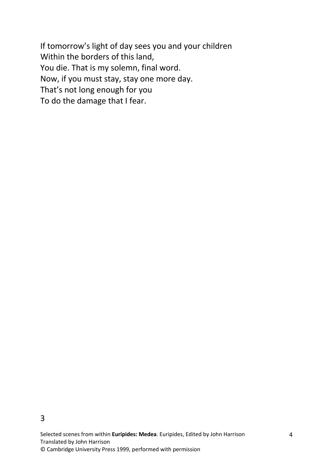If tomorrow's light of day sees you and your children Within the borders of this land, You die. That is my solemn, final word. Now, if you must stay, stay one more day. That's not long enough for you To do the damage that I fear.

3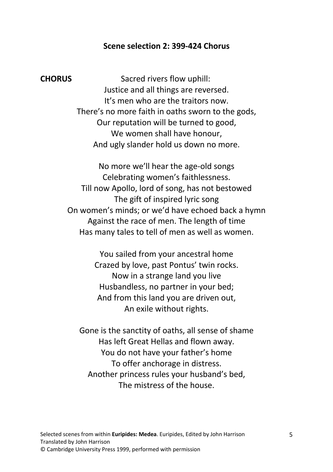#### **Scene selection 2: 399-424 Chorus**

**CHORUS** Sacred rivers flow uphill: Justice and all things are reversed. It's men who are the traitors now. There's no more faith in oaths sworn to the gods, Our reputation will be turned to good, We women shall have honour. And ugly slander hold us down no more.

> No more we'll hear the age-old songs Celebrating women's faithlessness. Till now Apollo, lord of song, has not bestowed The gift of inspired lyric song On women's minds; or we'd have echoed back a hymn Against the race of men. The length of time Has many tales to tell of men as well as women.

> > You sailed from your ancestral home Crazed by love, past Pontus' twin rocks. Now in a strange land you live Husbandless, no partner in your bed; And from this land you are driven out, An exile without rights.

Gone is the sanctity of oaths, all sense of shame Has left Great Hellas and flown away. You do not have your father's home To offer anchorage in distress. Another princess rules your husband's bed, The mistress of the house.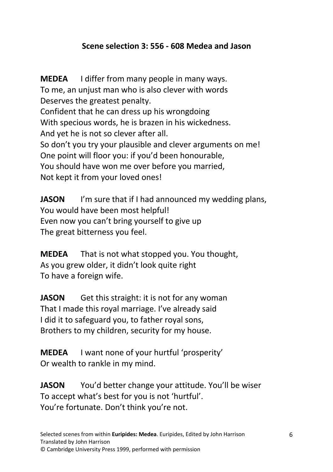## **Scene selection 3: 556 - 608 Medea and Jason**

**MEDEA** I differ from many people in many ways. To me, an unjust man who is also clever with words Deserves the greatest penalty. Confident that he can dress up his wrongdoing With specious words, he is brazen in his wickedness. And yet he is not so clever after all. So don't you try your plausible and clever arguments on me! One point will floor you: if you'd been honourable, You should have won me over before you married, Not kept it from your loved ones!

**JASON** I'm sure that if I had announced my wedding plans, You would have been most helpful! Even now you can't bring yourself to give up The great bitterness you feel.

**MEDEA** That is not what stopped you. You thought, As you grew older, it didn't look quite right To have a foreign wife.

**JASON** Get this straight: it is not for any woman That I made this royal marriage. I've already said I did it to safeguard you, to father royal sons, Brothers to my children, security for my house.

**MEDEA** I want none of your hurtful 'prosperity' Or wealth to rankle in my mind.

**JASON** You'd better change your attitude. You'll be wiser To accept what's best for you is not 'hurtful'. You're fortunate. Don't think you're not.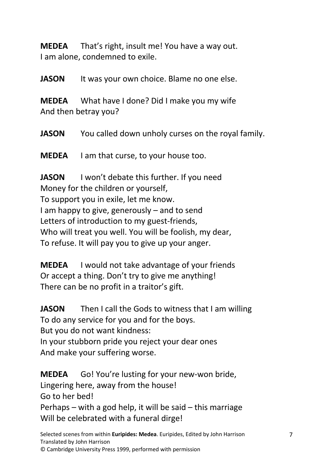**MEDEA** That's right, insult me! You have a way out. I am alone, condemned to exile.

**JASON** It was your own choice. Blame no one else.

**MEDEA** What have I done? Did I make you my wife And then betray you?

**JASON** You called down unholy curses on the royal family.

**MEDEA** I am that curse, to your house too.

**JASON** I won't debate this further. If you need Money for the children or yourself, To support you in exile, let me know. I am happy to give, generously – and to send Letters of introduction to my guest-friends, Who will treat you well. You will be foolish, my dear, To refuse. It will pay you to give up your anger.

**MEDEA** I would not take advantage of your friends Or accept a thing. Don't try to give me anything! There can be no profit in a traitor's gift.

**JASON** Then I call the Gods to witness that I am willing To do any service for you and for the boys. But you do not want kindness: In your stubborn pride you reject your dear ones And make your suffering worse.

**MEDEA** Go! You're lusting for your new-won bride, Lingering here, away from the house! Go to her bed! Perhaps – with a god help, it will be said – this marriage Will be celebrated with a funeral dirge!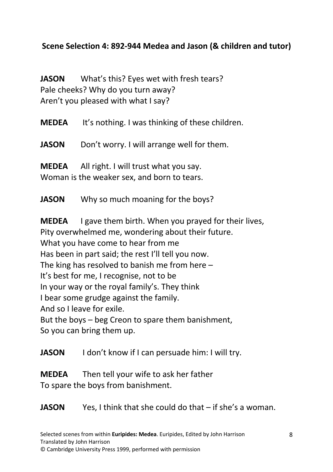# **Scene Selection 4: 892-944 Medea and Jason (& children and tutor)**

**JASON** What's this? Eyes wet with fresh tears? Pale cheeks? Why do you turn away? Aren't you pleased with what I say?

**MEDEA** It's nothing. I was thinking of these children.

**JASON** Don't worry. I will arrange well for them.

**MEDEA** All right. I will trust what you say. Woman is the weaker sex, and born to tears.

**JASON** Why so much moaning for the boys?

**MEDEA** I gave them birth. When you prayed for their lives, Pity overwhelmed me, wondering about their future. What you have come to hear from me Has been in part said; the rest I'll tell you now. The king has resolved to banish me from here – It's best for me, I recognise, not to be In your way or the royal family's. They think I bear some grudge against the family. And so I leave for exile. But the boys – beg Creon to spare them banishment, So you can bring them up.

**JASON** I don't know if I can persuade him: I will try.

**MEDEA** Then tell your wife to ask her father To spare the boys from banishment.

**JASON** Yes, I think that she could do that – if she's a woman.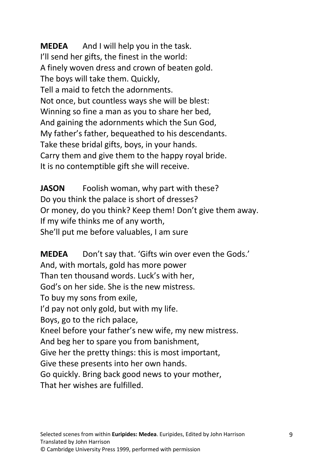**MEDEA** And I will help you in the task. I'll send her gifts, the finest in the world: A finely woven dress and crown of beaten gold. The boys will take them. Quickly, Tell a maid to fetch the adornments. Not once, but countless ways she will be blest: Winning so fine a man as you to share her bed, And gaining the adornments which the Sun God, My father's father, bequeathed to his descendants. Take these bridal gifts, boys, in your hands. Carry them and give them to the happy royal bride. It is no contemptible gift she will receive.

**JASON** Foolish woman, why part with these? Do you think the palace is short of dresses? Or money, do you think? Keep them! Don't give them away. If my wife thinks me of any worth, She'll put me before valuables, I am sure

**MEDEA** Don't say that. 'Gifts win over even the Gods.' And, with mortals, gold has more power Than ten thousand words. Luck's with her, God's on her side. She is the new mistress. To buy my sons from exile, I'd pay not only gold, but with my life. Boys, go to the rich palace, Kneel before your father's new wife, my new mistress. And beg her to spare you from banishment, Give her the pretty things: this is most important, Give these presents into her own hands. Go quickly. Bring back good news to your mother, That her wishes are fulfilled.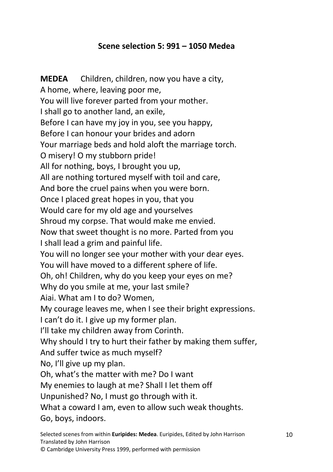#### **Scene selection 5: 991 – 1050 Medea**

**MEDEA** Children, children, now you have a city, A home, where, leaving poor me, You will live forever parted from your mother. I shall go to another land, an exile, Before I can have my joy in you, see you happy, Before I can honour your brides and adorn Your marriage beds and hold aloft the marriage torch. O misery! O my stubborn pride! All for nothing, boys, I brought you up, All are nothing tortured myself with toil and care, And bore the cruel pains when you were born. Once I placed great hopes in you, that you Would care for my old age and yourselves Shroud my corpse. That would make me envied. Now that sweet thought is no more. Parted from you I shall lead a grim and painful life. You will no longer see your mother with your dear eyes. You will have moved to a different sphere of life. Oh, oh! Children, why do you keep your eyes on me? Why do you smile at me, your last smile? Aiai. What am I to do? Women, My courage leaves me, when I see their bright expressions. I can't do it. I give up my former plan. I'll take my children away from Corinth. Why should I try to hurt their father by making them suffer, And suffer twice as much myself? No, I'll give up my plan. Oh, what's the matter with me? Do I want My enemies to laugh at me? Shall I let them off Unpunished? No, I must go through with it. What a coward I am, even to allow such weak thoughts. Go, boys, indoors.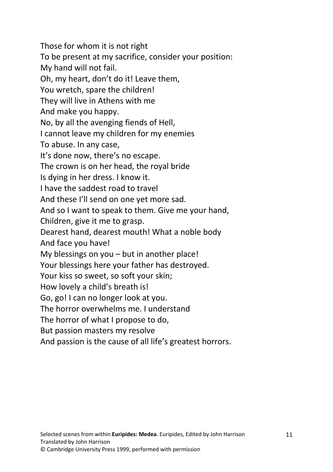Those for whom it is not right To be present at my sacrifice, consider your position: My hand will not fail. Oh, my heart, don't do it! Leave them, You wretch, spare the children! They will live in Athens with me And make you happy. No, by all the avenging fiends of Hell, I cannot leave my children for my enemies To abuse. In any case, It's done now, there's no escape. The crown is on her head, the royal bride Is dying in her dress. I know it. I have the saddest road to travel And these I'll send on one yet more sad. And so I want to speak to them. Give me your hand, Children, give it me to grasp. Dearest hand, dearest mouth! What a noble body And face you have! My blessings on you – but in another place! Your blessings here your father has destroyed. Your kiss so sweet, so soft your skin; How lovely a child's breath is! Go, go! I can no longer look at you. The horror overwhelms me. I understand The horror of what I propose to do, But passion masters my resolve And passion is the cause of all life's greatest horrors.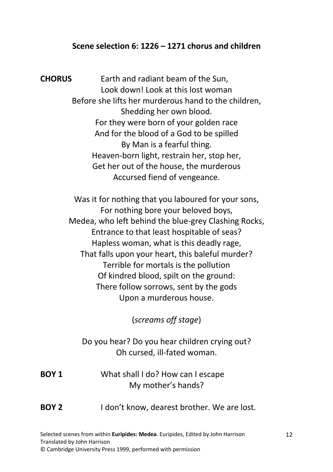#### **Scene selection 6: 1226 – 1271 chorus and children**

**CHORUS** Earth and radiant beam of the Sun, Look down! Look at this lost woman Before she lifts her murderous hand to the children, Shedding her own blood. For they were born of your golden race And for the blood of a God to be spilled By Man is a fearful thing. Heaven-born light, restrain her, stop her, Get her out of the house, the murderous Accursed fiend of vengeance.

> Was it for nothing that you laboured for your sons, For nothing bore your beloved boys, Medea, who left behind the blue-grey Clashing Rocks, Entrance to that least hospitable of seas? Hapless woman, what is this deadly rage, That falls upon your heart, this baleful murder? Terrible for mortals is the pollution Of kindred blood, spilt on the ground: There follow sorrows, sent by the gods Upon a murderous house.

> > (*screams off stage*)

Do you hear? Do you hear children crying out? Oh cursed, ill-fated woman.

- **BOY 1** What shall I do? How can I escape My mother's hands?
- **BOY 2** I don't know, dearest brother. We are lost.